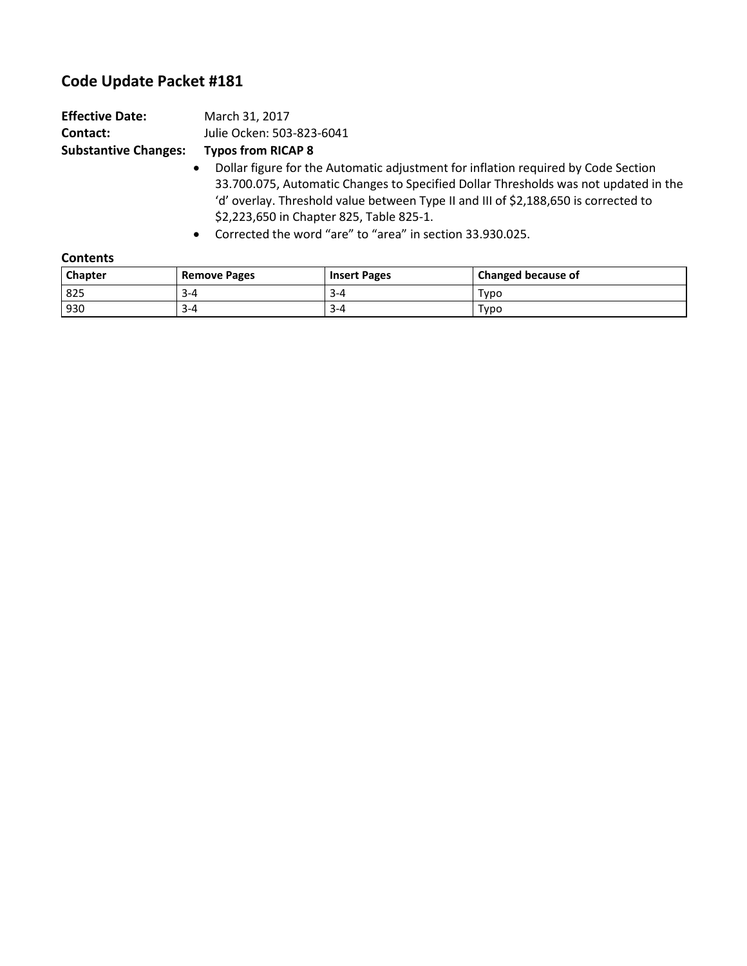## **Code Update Packet #181**

| <b>Effective Date:</b>      | March 31, 2017                                                                                 |
|-----------------------------|------------------------------------------------------------------------------------------------|
| Contact:                    | Julie Ocken: 503-823-6041                                                                      |
| <b>Substantive Changes:</b> | <b>Typos from RICAP 8</b>                                                                      |
|                             | Dollar figure for the Automatic adjustment for inflation required by Code Section<br>$\bullet$ |
|                             | 33.700.075, Automatic Changes to Specified Dollar Thresholds was not updated in the            |
|                             | 'd' overlay. Threshold value between Type II and III of \$2,188,650 is corrected to            |
|                             | \$2,223,650 in Chapter 825, Table 825-1.                                                       |
|                             |                                                                                                |

• Corrected the word "are" to "area" in section 33.930.025.

| <b>Contents</b> |                     |                     |                    |  |  |  |
|-----------------|---------------------|---------------------|--------------------|--|--|--|
| <b>Chapter</b>  | <b>Remove Pages</b> | <b>Insert Pages</b> | Changed because of |  |  |  |
| 825             | $3 - 4$             | $3 - 4$             | Typo               |  |  |  |
| 930             | $3 - 4$             | $3 - 4$             | Typo               |  |  |  |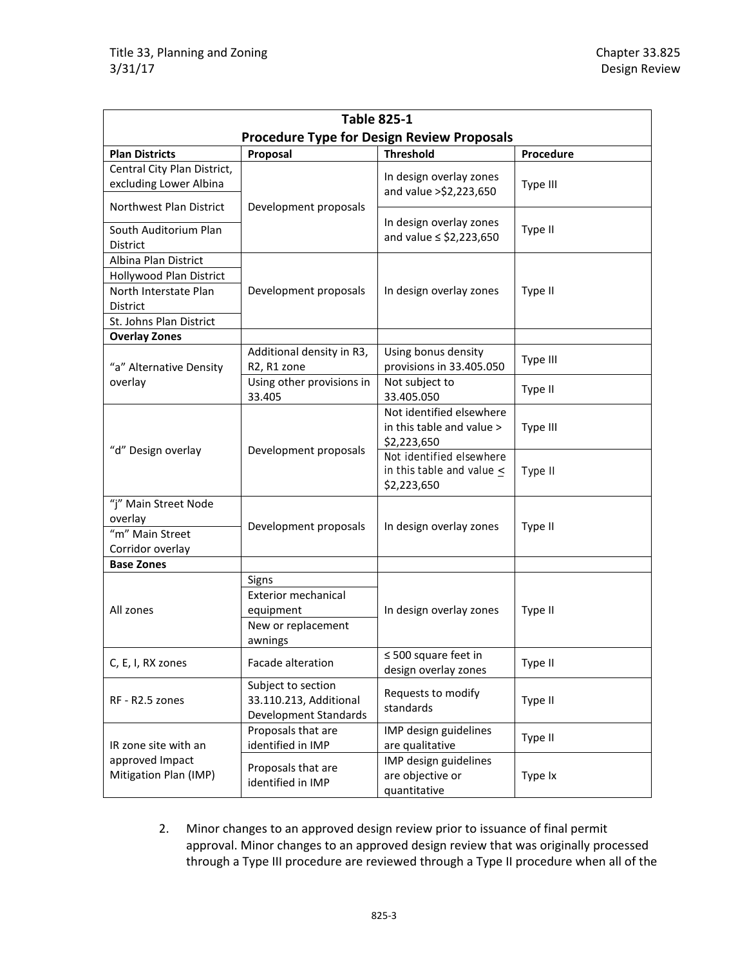| <b>Table 825-1</b>                                    |                                                                       |                                                                           |           |  |  |  |
|-------------------------------------------------------|-----------------------------------------------------------------------|---------------------------------------------------------------------------|-----------|--|--|--|
| <b>Procedure Type for Design Review Proposals</b>     |                                                                       |                                                                           |           |  |  |  |
| <b>Plan Districts</b>                                 | Proposal                                                              | <b>Threshold</b>                                                          | Procedure |  |  |  |
| Central City Plan District,<br>excluding Lower Albina |                                                                       | In design overlay zones<br>and value >\$2,223,650                         | Type III  |  |  |  |
| Northwest Plan District                               | Development proposals                                                 | In design overlay zones                                                   |           |  |  |  |
| South Auditorium Plan<br><b>District</b>              |                                                                       | and value $\le$ \$2,223,650                                               | Type II   |  |  |  |
| Albina Plan District                                  |                                                                       |                                                                           |           |  |  |  |
| Hollywood Plan District                               |                                                                       |                                                                           |           |  |  |  |
| North Interstate Plan<br>District                     | Development proposals                                                 | In design overlay zones                                                   | Type II   |  |  |  |
| St. Johns Plan District                               |                                                                       |                                                                           |           |  |  |  |
| <b>Overlay Zones</b>                                  |                                                                       |                                                                           |           |  |  |  |
| "a" Alternative Density                               | Additional density in R3,<br>R2, R1 zone                              | Using bonus density<br>provisions in 33.405.050                           | Type III  |  |  |  |
| overlay                                               | Using other provisions in<br>33.405                                   | Not subject to<br>33.405.050                                              | Type II   |  |  |  |
|                                                       |                                                                       | Not identified elsewhere<br>in this table and value ><br>\$2,223,650      | Type III  |  |  |  |
| "d" Design overlay                                    | Development proposals                                                 | Not identified elsewhere<br>in this table and value $\leq$<br>\$2,223,650 | Type II   |  |  |  |
| "j" Main Street Node                                  |                                                                       |                                                                           |           |  |  |  |
| overlay                                               | Development proposals                                                 | In design overlay zones                                                   | Type II   |  |  |  |
| "m" Main Street                                       |                                                                       |                                                                           |           |  |  |  |
| Corridor overlay                                      |                                                                       |                                                                           |           |  |  |  |
| <b>Base Zones</b>                                     |                                                                       |                                                                           |           |  |  |  |
|                                                       | Signs                                                                 |                                                                           |           |  |  |  |
|                                                       | <b>Exterior mechanical</b>                                            |                                                                           |           |  |  |  |
| All zones                                             | equipment                                                             | In design overlay zones<br>Type II                                        |           |  |  |  |
|                                                       | New or replacement                                                    |                                                                           |           |  |  |  |
|                                                       | awnings                                                               |                                                                           |           |  |  |  |
| C, E, I, RX zones                                     | Facade alteration                                                     | $\leq$ 500 square feet in<br>design overlay zones                         | Type II   |  |  |  |
| RF - R2.5 zones                                       | Subject to section<br>33.110.213, Additional<br>Development Standards | Requests to modify<br>standards                                           | Type II   |  |  |  |
| IR zone site with an                                  | Proposals that are<br>identified in IMP                               | IMP design guidelines<br>are qualitative                                  | Type II   |  |  |  |
| approved Impact<br>Mitigation Plan (IMP)              | Proposals that are<br>identified in IMP                               | IMP design guidelines<br>are objective or<br>quantitative                 | Type Ix   |  |  |  |

2. Minor changes to an approved design review prior to issuance of final permit approval. Minor changes to an approved design review that was originally processed through a Type III procedure are reviewed through a Type II procedure when all of the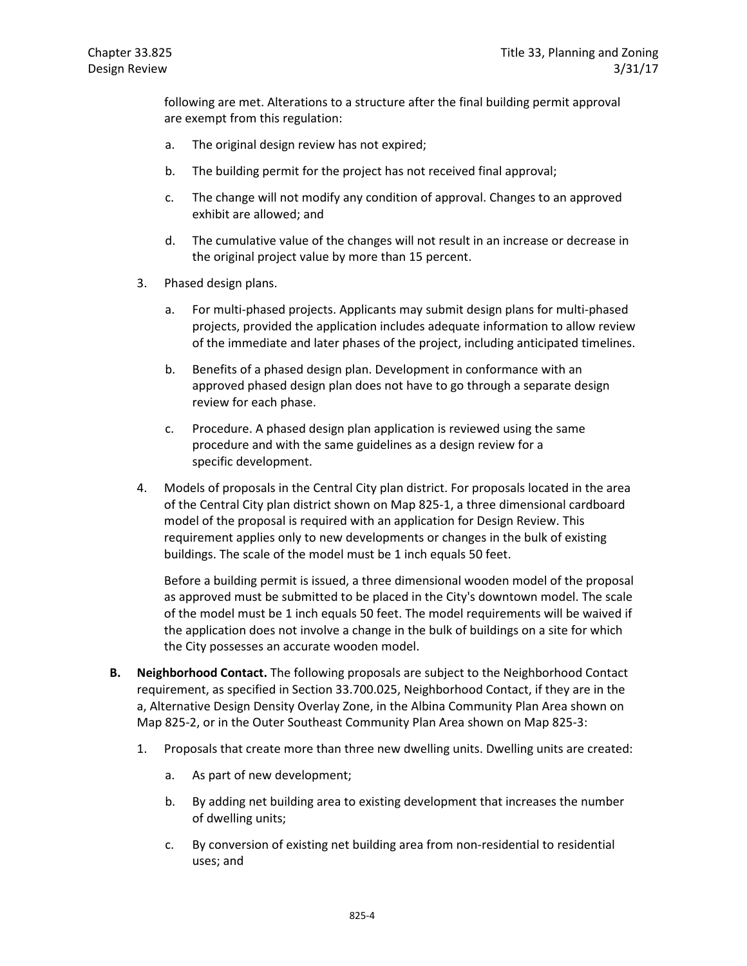following are met. Alterations to a structure after the final building permit approval are exempt from this regulation:

- a. The original design review has not expired;
- b. The building permit for the project has not received final approval;
- c. The change will not modify any condition of approval. Changes to an approved exhibit are allowed; and
- d. The cumulative value of the changes will not result in an increase or decrease in the original project value by more than 15 percent.
- 3. Phased design plans.
	- a. For multi-phased projects. Applicants may submit design plans for multi-phased projects, provided the application includes adequate information to allow review of the immediate and later phases of the project, including anticipated timelines.
	- b. Benefits of a phased design plan. Development in conformance with an approved phased design plan does not have to go through a separate design review for each phase.
	- c. Procedure. A phased design plan application is reviewed using the same procedure and with the same guidelines as a design review for a specific development.
- 4. Models of proposals in the Central City plan district. For proposals located in the area of the Central City plan district shown on Map 825-1, a three dimensional cardboard model of the proposal is required with an application for Design Review. This requirement applies only to new developments or changes in the bulk of existing buildings. The scale of the model must be 1 inch equals 50 feet.

Before a building permit is issued, a three dimensional wooden model of the proposal as approved must be submitted to be placed in the City's downtown model. The scale of the model must be 1 inch equals 50 feet. The model requirements will be waived if the application does not involve a change in the bulk of buildings on a site for which the City possesses an accurate wooden model.

- **B. Neighborhood Contact.** The following proposals are subject to the Neighborhood Contact requirement, as specified in Section 33.700.025, Neighborhood Contact, if they are in the a, Alternative Design Density Overlay Zone, in the Albina Community Plan Area shown on Map 825-2, or in the Outer Southeast Community Plan Area shown on Map 825-3:
	- 1. Proposals that create more than three new dwelling units. Dwelling units are created:
		- a. As part of new development;
		- b. By adding net building area to existing development that increases the number of dwelling units;
		- c. By conversion of existing net building area from non-residential to residential uses; and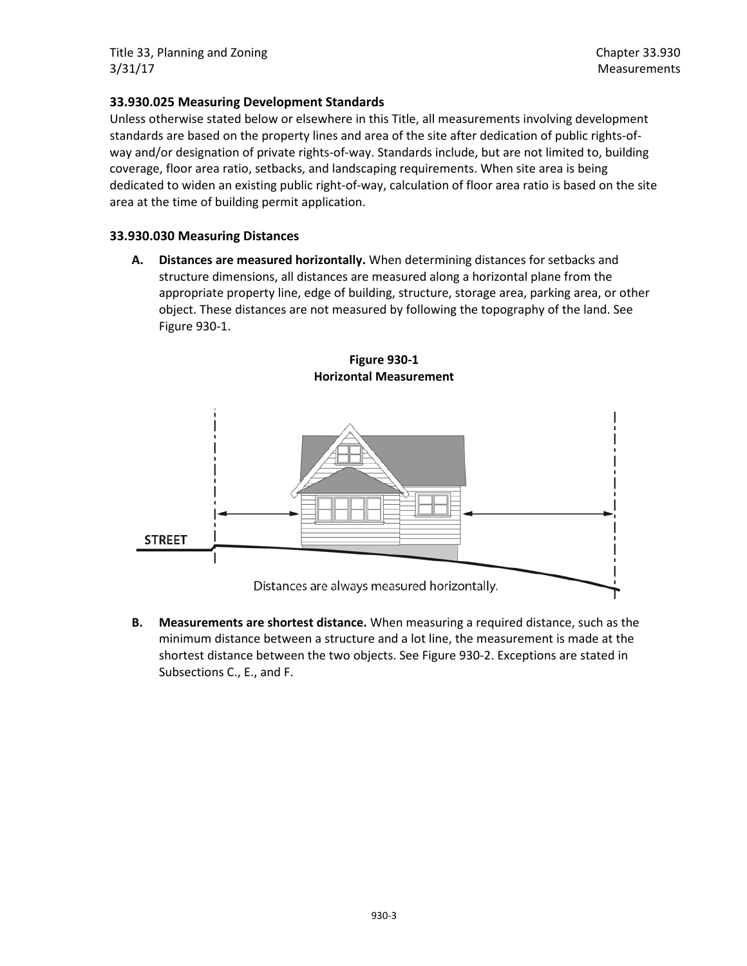## **33.930.025 Measuring Development Standards**

Unless otherwise stated below or elsewhere in this Title, all measurements involving development standards are based on the property lines and area of the site after dedication of public rights-ofway and/or designation of private rights-of-way. Standards include, but are not limited to, building coverage, floor area ratio, setbacks, and landscaping requirements. When site area is being dedicated to widen an existing public right-of-way, calculation of floor area ratio is based on the site area at the time of building permit application.

## **33.930.030 Measuring Distances**

**A. Distances are measured horizontally.** When determining distances for setbacks and structure dimensions, all distances are measured along a horizontal plane from the appropriate property line, edge of building, structure, storage area, parking area, or other object. These distances are not measured by following the topography of the land. See Figure 930-1.



**Figure 930-1 Horizontal Measurement**

**B. Measurements are shortest distance.** When measuring a required distance, such as the minimum distance between a structure and a lot line, the measurement is made at the shortest distance between the two objects. See Figure 930-2. Exceptions are stated in Subsections C., E., and F.